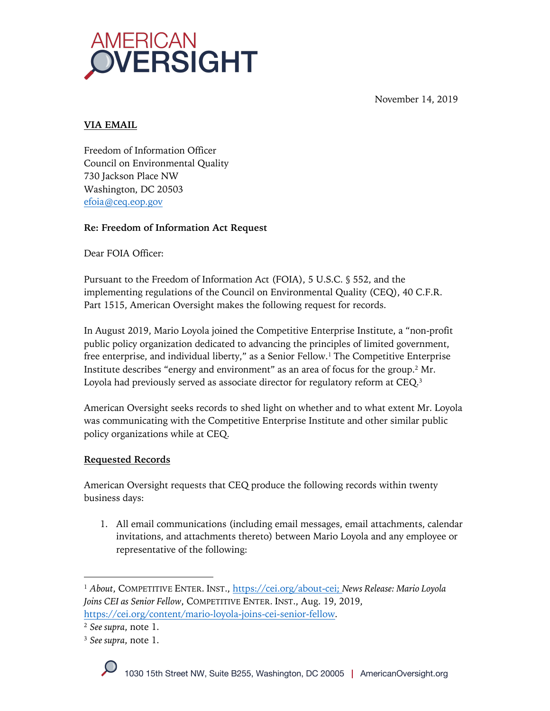



## **VIA EMAIL**

Freedom of Information Officer Council on Environmental Quality 730 Jackson Place NW Washington, DC 20503 efoia@ceq.eop.gov

# **Re: Freedom of Information Act Request**

Dear FOIA Officer:

Pursuant to the Freedom of Information Act (FOIA), 5 U.S.C. § 552, and the implementing regulations of the Council on Environmental Quality (CEQ), 40 C.F.R. Part 1515, American Oversight makes the following request for records.

In August 2019, Mario Loyola joined the Competitive Enterprise Institute, a "non-profit public policy organization dedicated to advancing the principles of limited government, free enterprise, and individual liberty," as a Senior Fellow.<sup>1</sup> The Competitive Enterprise Institute describes "energy and environment" as an area of focus for the group.2 Mr. Loyola had previously served as associate director for regulatory reform at CEQ.3

American Oversight seeks records to shed light on whether and to what extent Mr. Loyola was communicating with the Competitive Enterprise Institute and other similar public policy organizations while at CEQ.

# **Requested Records**

American Oversight requests that CEQ produce the following records within twenty business days:

1. All email communications (including email messages, email attachments, calendar invitations, and attachments thereto) between Mario Loyola and any employee or representative of the following:

<sup>1</sup> *About*, COMPETITIVE ENTER. INST., https://cei.org/about-cei; *News Release: Mario Loyola Joins CEI as Senior Fellow*, COMPETITIVE ENTER. INST., Aug. 19, 2019, https://cei.org/content/mario-loyola-joins-cei-senior-fellow.

<sup>2</sup> *See supra*, note 1.

<sup>3</sup> *See supra*, note 1.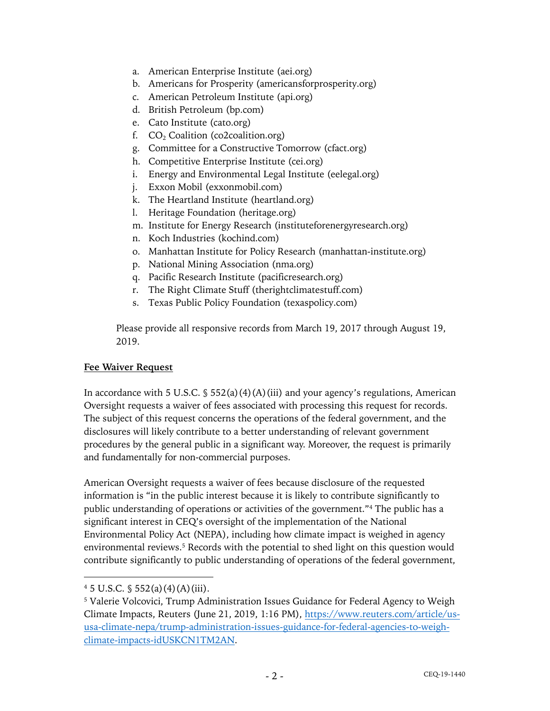- a. American Enterprise Institute (aei.org)
- b. Americans for Prosperity (americansforprosperity.org)
- c. American Petroleum Institute (api.org)
- d. British Petroleum (bp.com)
- e. Cato Institute (cato.org)
- f.  $CO<sub>2</sub>$  Coalition (co2coalition.org)
- g. Committee for a Constructive Tomorrow (cfact.org)
- h. Competitive Enterprise Institute (cei.org)
- i. Energy and Environmental Legal Institute (eelegal.org)
- j. Exxon Mobil (exxonmobil.com)
- k. The Heartland Institute (heartland.org)
- l. Heritage Foundation (heritage.org)
- m. Institute for Energy Research (instituteforenergyresearch.org)
- n. Koch Industries (kochind.com)
- o. Manhattan Institute for Policy Research (manhattan-institute.org)
- p. National Mining Association (nma.org)
- q. Pacific Research Institute (pacificresearch.org)
- r. The Right Climate Stuff (therightclimatestuff.com)
- s. Texas Public Policy Foundation (texaspolicy.com)

Please provide all responsive records from March 19, 2017 through August 19, 2019.

#### **Fee Waiver Request**

In accordance with 5 U.S.C.  $\S$  552(a)(4)(A)(iii) and your agency's regulations, American Oversight requests a waiver of fees associated with processing this request for records. The subject of this request concerns the operations of the federal government, and the disclosures will likely contribute to a better understanding of relevant government procedures by the general public in a significant way. Moreover, the request is primarily and fundamentally for non-commercial purposes.

American Oversight requests a waiver of fees because disclosure of the requested information is "in the public interest because it is likely to contribute significantly to public understanding of operations or activities of the government."4 The public has a significant interest in CEQ's oversight of the implementation of the National Environmental Policy Act (NEPA), including how climate impact is weighed in agency environmental reviews. <sup>5</sup> Records with the potential to shed light on this question would contribute significantly to public understanding of operations of the federal government,

 $4\,5\,$  U.S.C.  $\frac{6}{3}\,552(a)(4)(A)(iii)$ .

<sup>5</sup> Valerie Volcovici, Trump Administration Issues Guidance for Federal Agency to Weigh Climate Impacts, Reuters (June 21, 2019, 1:16 PM), https://www.reuters.com/article/ususa-climate-nepa/trump-administration-issues-guidance-for-federal-agencies-to-weighclimate-impacts-idUSKCN1TM2AN.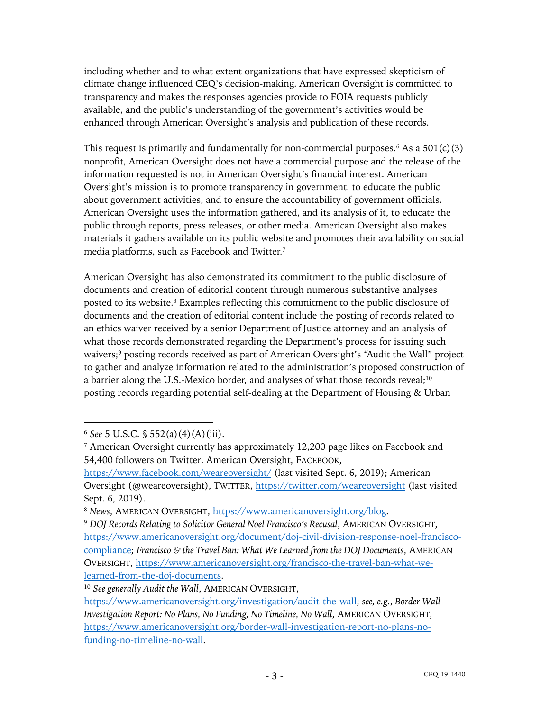including whether and to what extent organizations that have expressed skepticism of climate change influenced CEQ's decision-making. American Oversight is committed to transparency and makes the responses agencies provide to FOIA requests publicly available, and the public's understanding of the government's activities would be enhanced through American Oversight's analysis and publication of these records.

This request is primarily and fundamentally for non-commercial purposes.<sup>6</sup> As a  $501(c)(3)$ nonprofit, American Oversight does not have a commercial purpose and the release of the information requested is not in American Oversight's financial interest. American Oversight's mission is to promote transparency in government, to educate the public about government activities, and to ensure the accountability of government officials. American Oversight uses the information gathered, and its analysis of it, to educate the public through reports, press releases, or other media. American Oversight also makes materials it gathers available on its public website and promotes their availability on social media platforms, such as Facebook and Twitter.7

American Oversight has also demonstrated its commitment to the public disclosure of documents and creation of editorial content through numerous substantive analyses posted to its website. <sup>8</sup> Examples reflecting this commitment to the public disclosure of documents and the creation of editorial content include the posting of records related to an ethics waiver received by a senior Department of Justice attorney and an analysis of what those records demonstrated regarding the Department's process for issuing such waivers;<sup>9</sup> posting records received as part of American Oversight's "Audit the Wall" project to gather and analyze information related to the administration's proposed construction of a barrier along the U.S.-Mexico border, and analyses of what those records reveal;<sup>10</sup> posting records regarding potential self-dealing at the Department of Housing & Urban

<sup>9</sup> *DOJ Records Relating to Solicitor General Noel Francisco's Recusal*, AMERICAN OVERSIGHT, https://www.americanoversight.org/document/doj-civil-division-response-noel-franciscocompliance; *Francisco & the Travel Ban: What We Learned from the DOJ Documents*, AMERICAN OVERSIGHT, https://www.americanoversight.org/francisco-the-travel-ban-what-welearned-from-the-doj-documents.

<sup>6</sup> *See* 5 U.S.C. § 552(a)(4)(A)(iii).

<sup>7</sup> American Oversight currently has approximately 12,200 page likes on Facebook and 54,400 followers on Twitter. American Oversight, FACEBOOK,

https://www.facebook.com/weareoversight/ (last visited Sept. 6, 2019); American Oversight (@weareoversight), TWITTER, https://twitter.com/weareoversight (last visited Sept. 6, 2019).

<sup>8</sup> *News*, AMERICAN OVERSIGHT, https://www.americanoversight.org/blog.

<sup>10</sup> *See generally Audit the Wall*, AMERICAN OVERSIGHT,

https://www.americanoversight.org/investigation/audit-the-wall; *see, e.g.*, *Border Wall Investigation Report: No Plans, No Funding, No Timeline, No Wall*, AMERICAN OVERSIGHT, https://www.americanoversight.org/border-wall-investigation-report-no-plans-nofunding-no-timeline-no-wall.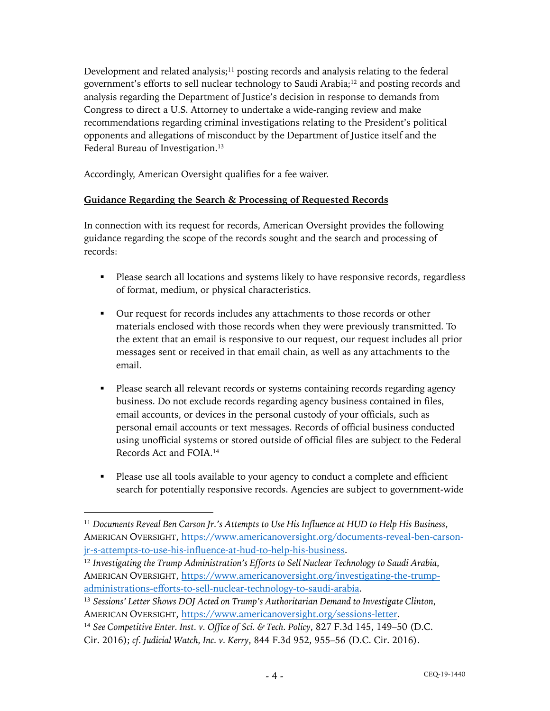Development and related analysis;<sup>11</sup> posting records and analysis relating to the federal government's efforts to sell nuclear technology to Saudi Arabia;12 and posting records and analysis regarding the Department of Justice's decision in response to demands from Congress to direct a U.S. Attorney to undertake a wide-ranging review and make recommendations regarding criminal investigations relating to the President's political opponents and allegations of misconduct by the Department of Justice itself and the Federal Bureau of Investigation.<sup>13</sup>

Accordingly, American Oversight qualifies for a fee waiver.

### **Guidance Regarding the Search & Processing of Requested Records**

In connection with its request for records, American Oversight provides the following guidance regarding the scope of the records sought and the search and processing of records:

- Please search all locations and systems likely to have responsive records, regardless of format, medium, or physical characteristics.
- § Our request for records includes any attachments to those records or other materials enclosed with those records when they were previously transmitted. To the extent that an email is responsive to our request, our request includes all prior messages sent or received in that email chain, as well as any attachments to the email.
- § Please search all relevant records or systems containing records regarding agency business. Do not exclude records regarding agency business contained in files, email accounts, or devices in the personal custody of your officials, such as personal email accounts or text messages. Records of official business conducted using unofficial systems or stored outside of official files are subject to the Federal Records Act and FOIA.14
- Please use all tools available to your agency to conduct a complete and efficient search for potentially responsive records. Agencies are subject to government-wide

<sup>11</sup> *Documents Reveal Ben Carson Jr.'s Attempts to Use His Influence at HUD to Help His Business*, AMERICAN OVERSIGHT, https://www.americanoversight.org/documents-reveal-ben-carsonjr-s-attempts-to-use-his-influence-at-hud-to-help-his-business.

<sup>12</sup> *Investigating the Trump Administration's Efforts to Sell Nuclear Technology to Saudi Arabia*, AMERICAN OVERSIGHT, https://www.americanoversight.org/investigating-the-trumpadministrations-efforts-to-sell-nuclear-technology-to-saudi-arabia.

<sup>13</sup> *Sessions' Letter Shows DOJ Acted on Trump's Authoritarian Demand to Investigate Clinton*, AMERICAN OVERSIGHT, https://www.americanoversight.org/sessions-letter.

<sup>14</sup> *See Competitive Enter. Inst. v. Office of Sci. & Tech. Policy*, 827 F.3d 145, 149–50 (D.C. Cir. 2016); *cf. Judicial Watch, Inc. v. Kerry*, 844 F.3d 952, 955–56 (D.C. Cir. 2016).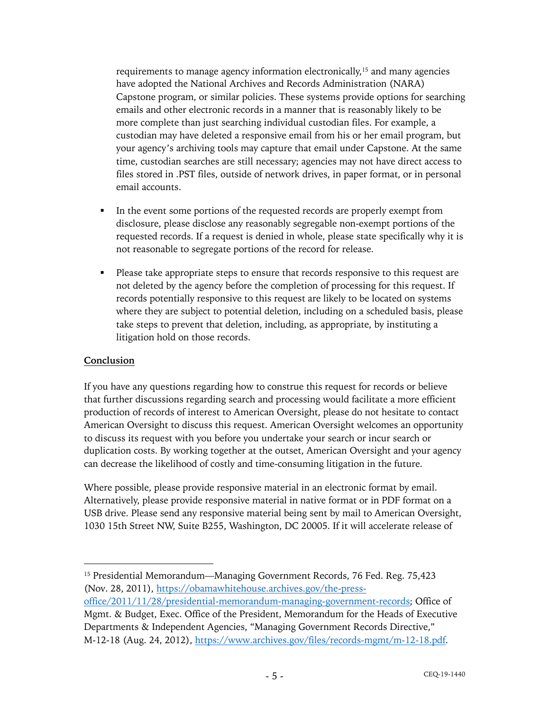requirements to manage agency information electronically,15 and many agencies have adopted the National Archives and Records Administration (NARA) Capstone program, or similar policies. These systems provide options for searching emails and other electronic records in a manner that is reasonably likely to be more complete than just searching individual custodian files. For example, a custodian may have deleted a responsive email from his or her email program, but your agency's archiving tools may capture that email under Capstone. At the same time, custodian searches are still necessary; agencies may not have direct access to files stored in .PST files, outside of network drives, in paper format, or in personal email accounts.

- In the event some portions of the requested records are properly exempt from disclosure, please disclose any reasonably segregable non-exempt portions of the requested records. If a request is denied in whole, please state specifically why it is not reasonable to segregate portions of the record for release.
- Please take appropriate steps to ensure that records responsive to this request are not deleted by the agency before the completion of processing for this request. If records potentially responsive to this request are likely to be located on systems where they are subject to potential deletion, including on a scheduled basis, please take steps to prevent that deletion, including, as appropriate, by instituting a litigation hold on those records.

### **Conclusion**

If you have any questions regarding how to construe this request for records or believe that further discussions regarding search and processing would facilitate a more efficient production of records of interest to American Oversight, please do not hesitate to contact American Oversight to discuss this request. American Oversight welcomes an opportunity to discuss its request with you before you undertake your search or incur search or duplication costs. By working together at the outset, American Oversight and your agency can decrease the likelihood of costly and time-consuming litigation in the future.

Where possible, please provide responsive material in an electronic format by email. Alternatively, please provide responsive material in native format or in PDF format on a USB drive. Please send any responsive material being sent by mail to American Oversight, 1030 15th Street NW, Suite B255, Washington, DC 20005. If it will accelerate release of

office/2011/11/28/presidential-memorandum-managing-government-records; Office of Mgmt. & Budget, Exec. Office of the President, Memorandum for the Heads of Executive Departments & Independent Agencies, "Managing Government Records Directive," M-12-18 (Aug. 24, 2012), https://www.archives.gov/files/records-mgmt/m-12-18.pdf.

<sup>15</sup> Presidential Memorandum—Managing Government Records, 76 Fed. Reg. 75,423 (Nov. 28, 2011), https://obamawhitehouse.archives.gov/the-press-